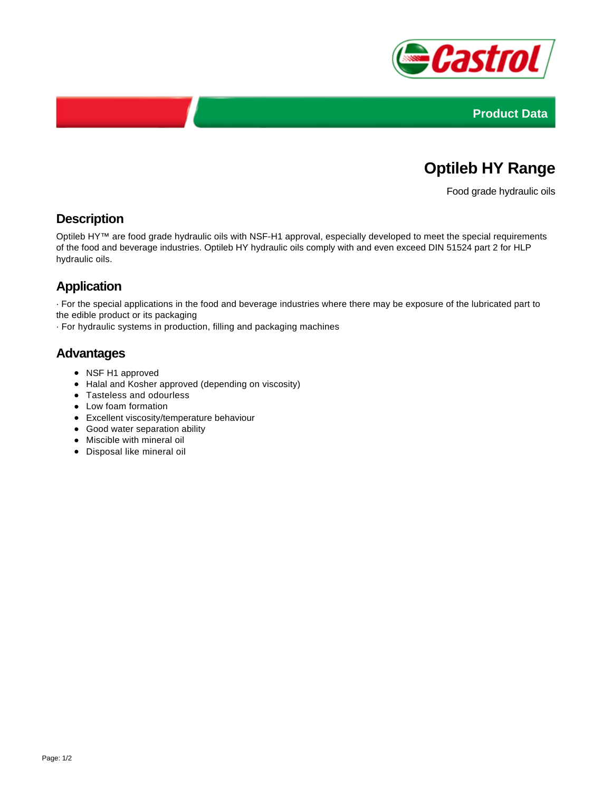



# **Optileb HY Range**

Food grade hydraulic oils

### **Description**

Optileb HY™ are food grade hydraulic oils with NSF-H1 approval, especially developed to meet the special requirements of the food and beverage industries. Optileb HY hydraulic oils comply with and even exceed DIN 51524 part 2 for HLP hydraulic oils.

## **Application**

· For the special applications in the food and beverage industries where there may be exposure of the lubricated part to the edible product or its packaging

· For hydraulic systems in production, filling and packaging machines

### **Advantages**

- NSF H1 approved
- Halal and Kosher approved (depending on viscosity)
- Tasteless and odourless
- Low foam formation
- Excellent viscosity/temperature behaviour
- Good water separation ability
- Miscible with mineral oil
- Disposal like mineral oil